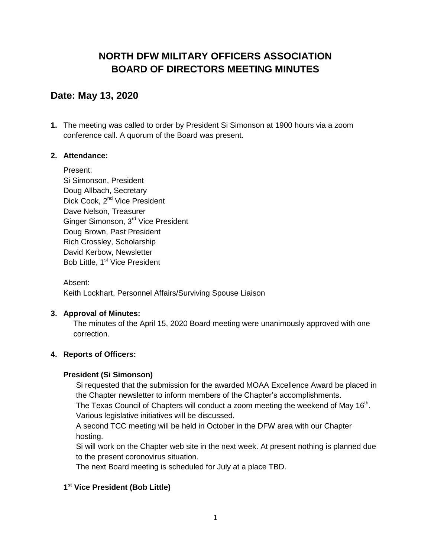# **NORTH DFW MILITARY OFFICERS ASSOCIATION BOARD OF DIRECTORS MEETING MINUTES**

## **Date: May 13, 2020**

**1.** The meeting was called to order by President Si Simonson at 1900 hours via a zoom conference call. A quorum of the Board was present.

## **2. Attendance:**

Present: Si Simonson, President Doug Allbach, Secretary Dick Cook, 2<sup>nd</sup> Vice President Dave Nelson, Treasurer Ginger Simonson, 3rd Vice President Doug Brown, Past President Rich Crossley, Scholarship David Kerbow, Newsletter Bob Little, 1<sup>st</sup> Vice President

Absent: Keith Lockhart, Personnel Affairs/Surviving Spouse Liaison

#### **3. Approval of Minutes:**

The minutes of the April 15, 2020 Board meeting were unanimously approved with one correction.

## **4. Reports of Officers:**

## **President (Si Simonson)**

Si requested that the submission for the awarded MOAA Excellence Award be placed in the Chapter newsletter to inform members of the Chapter's accomplishments.

The Texas Council of Chapters will conduct a zoom meeting the weekend of May  $16<sup>th</sup>$ . Various legislative initiatives will be discussed.

A second TCC meeting will be held in October in the DFW area with our Chapter hosting.

Si will work on the Chapter web site in the next week. At present nothing is planned due to the present coronovirus situation.

The next Board meeting is scheduled for July at a place TBD.

## **1 st Vice President (Bob Little)**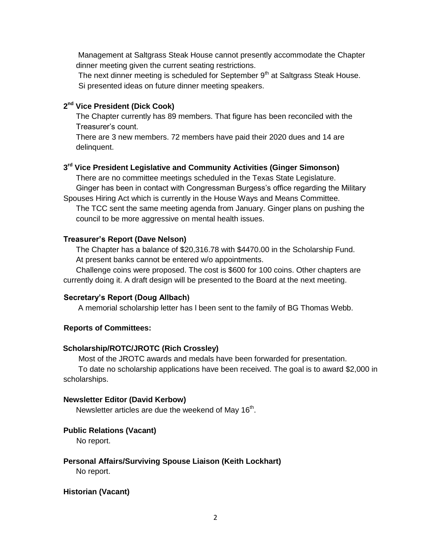Management at Saltgrass Steak House cannot presently accommodate the Chapter dinner meeting given the current seating restrictions.

The next dinner meeting is scheduled for September  $9<sup>th</sup>$  at Saltgrass Steak House. Si presented ideas on future dinner meeting speakers.

#### **2 nd Vice President (Dick Cook)**

The Chapter currently has 89 members. That figure has been reconciled with the Treasurer's count.

There are 3 new members. 72 members have paid their 2020 dues and 14 are delinquent.

## **3 rd Vice President Legislative and Community Activities (Ginger Simonson)**

There are no committee meetings scheduled in the Texas State Legislature. Ginger has been in contact with Congressman Burgess's office regarding the Military Spouses Hiring Act which is currently in the House Ways and Means Committee.

The TCC sent the same meeting agenda from January. Ginger plans on pushing the council to be more aggressive on mental health issues.

## **Treasurer's Report (Dave Nelson)**

The Chapter has a balance of \$20,316.78 with \$4470.00 in the Scholarship Fund. At present banks cannot be entered w/o appointments.

Challenge coins were proposed. The cost is \$600 for 100 coins. Other chapters are currently doing it. A draft design will be presented to the Board at the next meeting.

## **Secretary's Report (Doug Allbach)**

A memorial scholarship letter has l been sent to the family of BG Thomas Webb.

#### **Reports of Committees:**

#### **Scholarship/ROTC/JROTC (Rich Crossley)**

 Most of the JROTC awards and medals have been forwarded for presentation. To date no scholarship applications have been received. The goal is to award \$2,000 in scholarships.

#### **Newsletter Editor (David Kerbow)**

Newsletter articles are due the weekend of May 16<sup>th</sup>.

#### **Public Relations (Vacant)**

No report.

#### **Personal Affairs/Surviving Spouse Liaison (Keith Lockhart)**

No report.

#### **Historian (Vacant)**